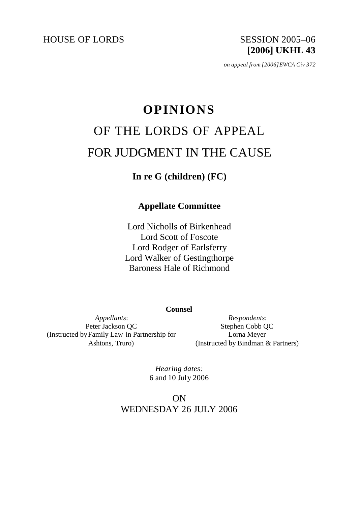HOUSE OF LORDS SESSION 2005–06

# **[2006] UKHL 43**

*on appeal from [2006]EWCA Civ 372*

# **OPINIONS** OF THE LORDS OF APPEAL FOR JUDGMENT IN THE CAUSE

# **In re G (children) (FC)**

# **Appellate Committee**

Lord Nicholls of Birkenhead Lord Scott of Foscote Lord Rodger of Earlsferry Lord Walker of Gestingthorpe Baroness Hale of Richmond

**Counsel**

*Appellants*: Peter Jackson QC (Instructed by Family Law in Partnership for Ashtons, Truro)

*Respondents*: Stephen Cobb QC Lorna Meyer (Instructed by Bindman & Partners)

*Hearing dates:* 6 and 10 July 2006

ON WEDNESDAY 26 JULY 2006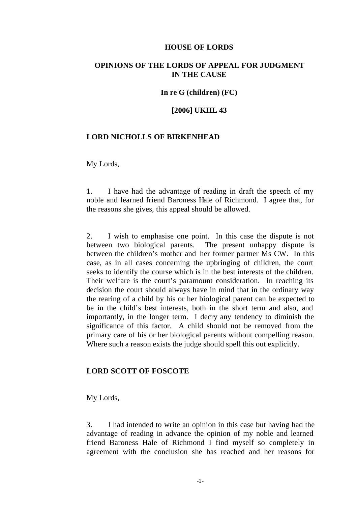#### **HOUSE OF LORDS**

# **OPINIONS OF THE LORDS OF APPEAL FOR JUDGMENT IN THE CAUSE**

#### **In re G (children) (FC)**

#### **[2006] UKHL 43**

#### **LORD NICHOLLS OF BIRKENHEAD**

My Lords,

1. I have had the advantage of reading in draft the speech of my noble and learned friend Baroness Hale of Richmond. I agree that, for the reasons she gives, this appeal should be allowed.

2. I wish to emphasise one point. In this case the dispute is not between two biological parents. The present unhappy dispute is between the children's mother and her former partner Ms CW. In this case, as in all cases concerning the upbringing of children, the court seeks to identify the course which is in the best interests of the children. Their welfare is the court's paramount consideration. In reaching its decision the court should always have in mind that in the ordinary way the rearing of a child by his or her biological parent can be expected to be in the child's best interests, both in the short term and also, and importantly, in the longer term. I decry any tendency to diminish the significance of this factor. A child should not be removed from the primary care of his or her biological parents without compelling reason. Where such a reason exists the judge should spell this out explicitly.

#### **LORD SCOTT OF FOSCOTE**

My Lords,

3. I had intended to write an opinion in this case but having had the advantage of reading in advance the opinion of my noble and learned friend Baroness Hale of Richmond I find myself so completely in agreement with the conclusion she has reached and her reasons for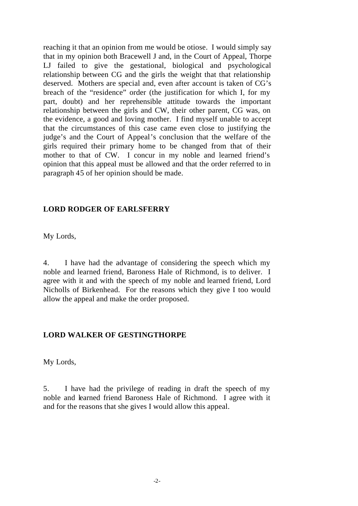reaching it that an opinion from me would be otiose. I would simply say that in my opinion both Bracewell J and, in the Court of Appeal, Thorpe LJ failed to give the gestational, biological and psychological relationship between CG and the girls the weight that that relationship deserved. Mothers are special and, even after account is taken of CG's breach of the "residence" order (the justification for which I, for my part, doubt) and her reprehensible attitude towards the important relationship between the girls and CW, their other parent, CG was, on the evidence, a good and loving mother. I find myself unable to accept that the circumstances of this case came even close to justifying the judge's and the Court of Appeal's conclusion that the welfare of the girls required their primary home to be changed from that of their mother to that of CW. I concur in my noble and learned friend's opinion that this appeal must be allowed and that the order referred to in paragraph 45 of her opinion should be made.

#### **LORD RODGER OF EARLSFERRY**

My Lords,

4. I have had the advantage of considering the speech which my noble and learned friend, Baroness Hale of Richmond, is to deliver. I agree with it and with the speech of my noble and learned friend, Lord Nicholls of Birkenhead. For the reasons which they give I too would allow the appeal and make the order proposed.

## **LORD WALKER OF GESTINGTHORPE**

My Lords,

5. I have had the privilege of reading in draft the speech of my noble and learned friend Baroness Hale of Richmond. I agree with it and for the reasons that she gives I would allow this appeal.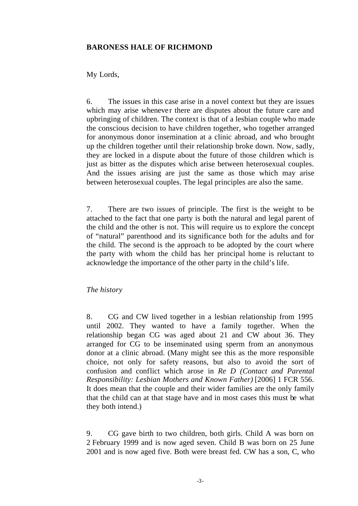# **BARONESS HALE OF RICHMOND**

# My Lords,

6. The issues in this case arise in a novel context but they are issues which may arise whenever there are disputes about the future care and upbringing of children. The context is that of a lesbian couple who made the conscious decision to have children together, who together arranged for anonymous donor insemination at a clinic abroad, and who brought up the children together until their relationship broke down. Now, sadly, they are locked in a dispute about the future of those children which is just as bitter as the disputes which arise between heterosexual couples. And the issues arising are just the same as those which may arise between heterosexual couples. The legal principles are also the same.

7. There are two issues of principle. The first is the weight to be attached to the fact that one party is both the natural and legal parent of the child and the other is not. This will require us to explore the concept of "natural" parenthood and its significance both for the adults and for the child. The second is the approach to be adopted by the court where the party with whom the child has her principal home is reluctant to acknowledge the importance of the other party in the child's life.

## *The history*

8. CG and CW lived together in a lesbian relationship from 1995 until 2002. They wanted to have a family together. When the relationship began CG was aged about 21 and CW about 36. They arranged for CG to be inseminated using sperm from an anonymous donor at a clinic abroad. (Many might see this as the more responsible choice, not only for safety reasons, but also to avoid the sort of confusion and conflict which arose in *Re D (Contact and Parental Responsibility: Lesbian Mothers and Known Father)* [2006] 1 FCR 556. It does mean that the couple and their wider families are the only family that the child can at that stage have and in most cases this must be what they both intend.)

9. CG gave birth to two children, both girls. Child A was born on 2 February 1999 and is now aged seven. Child B was born on 25 June 2001 and is now aged five. Both were breast fed. CW has a son, C, who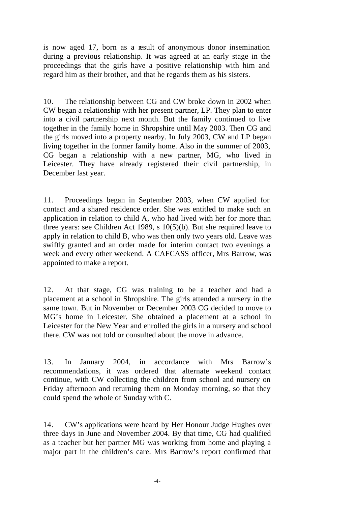is now aged 17, born as a result of anonymous donor insemination during a previous relationship. It was agreed at an early stage in the proceedings that the girls have a positive relationship with him and regard him as their brother, and that he regards them as his sisters.

10. The relationship between CG and CW broke down in 2002 when CW began a relationship with her present partner, LP. They plan to enter into a civil partnership next month. But the family continued to live together in the family home in Shropshire until May 2003. Then CG and the girls moved into a property nearby. In July 2003, CW and LP began living together in the former family home. Also in the summer of 2003, CG began a relationship with a new partner, MG, who lived in Leicester. They have already registered their civil partnership, in December last year.

11. Proceedings began in September 2003, when CW applied for contact and a shared residence order. She was entitled to make such an application in relation to child A, who had lived with her for more than three years: see Children Act 1989, s 10(5)(b). But she required leave to apply in relation to child B, who was then only two years old. Leave was swiftly granted and an order made for interim contact two evenings a week and every other weekend. A CAFCASS officer, Mrs Barrow, was appointed to make a report.

12. At that stage, CG was training to be a teacher and had a placement at a school in Shropshire. The girls attended a nursery in the same town. But in November or December 2003 CG decided to move to MG's home in Leicester. She obtained a placement at a school in Leicester for the New Year and enrolled the girls in a nursery and school there. CW was not told or consulted about the move in advance.

13. In January 2004, in accordance with Mrs Barrow's recommendations, it was ordered that alternate weekend contact continue, with CW collecting the children from school and nursery on Friday afternoon and returning them on Monday morning, so that they could spend the whole of Sunday with C.

14. CW's applications were heard by Her Honour Judge Hughes over three days in June and November 2004. By that time, CG had qualified as a teacher but her partner MG was working from home and playing a major part in the children's care. Mrs Barrow's report confirmed that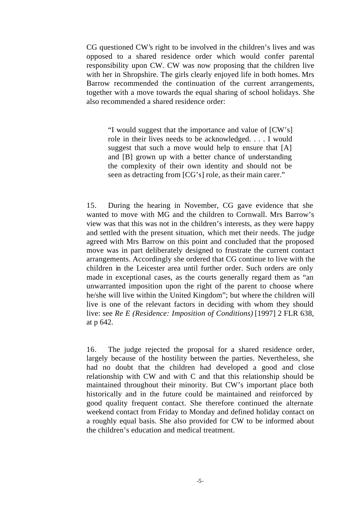CG questioned CW's right to be involved in the children's lives and was opposed to a shared residence order which would confer parental responsibility upon CW. CW was now proposing that the children live with her in Shropshire. The girls clearly enjoyed life in both homes. Mrs Barrow recommended the continuation of the current arrangements, together with a move towards the equal sharing of school holidays. She also recommended a shared residence order:

"I would suggest that the importance and value of [CW's] role in their lives needs to be acknowledged. . . . I would suggest that such a move would help to ensure that [A] and [B] grown up with a better chance of understanding the complexity of their own identity and should not be seen as detracting from [CG's] role, as their main carer."

15. During the hearing in November, CG gave evidence that she wanted to move with MG and the children to Cornwall. Mrs Barrow's view was that this was not in the children's interests, as they were happy and settled with the present situation, which met their needs. The judge agreed with Mrs Barrow on this point and concluded that the proposed move was in part deliberately designed to frustrate the current contact arrangements. Accordingly she ordered that CG continue to live with the children in the Leicester area until further order. Such orders are only made in exceptional cases, as the courts generally regard them as "an unwarranted imposition upon the right of the parent to choose where he/she will live within the United Kingdom"; but where the children will live is one of the relevant factors in deciding with whom they should live: see *Re E (Residence: Imposition of Conditions)* [1997] 2 FLR 638, at p 642.

16. The judge rejected the proposal for a shared residence order, largely because of the hostility between the parties. Nevertheless, she had no doubt that the children had developed a good and close relationship with CW and with C and that this relationship should be maintained throughout their minority. But CW's important place both historically and in the future could be maintained and reinforced by good quality frequent contact. She therefore continued the alternate weekend contact from Friday to Monday and defined holiday contact on a roughly equal basis. She also provided for CW to be informed about the children's education and medical treatment.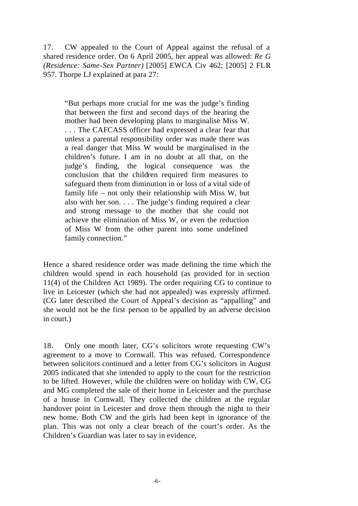17. CW appealed to the Court of Appeal against the refusal of a shared residence order. On 6 April 2005, her appeal was allowed: *Re G (Residence: Same-Sex Partner)* [2005] EWCA Civ 462; [2005] 2 FLR 957. Thorpe LJ explained at para 27:

"But perhaps more crucial for me was the judge's finding that between the first and second days of the hearing the mother had been developing plans to marginalise Miss W. . . . The CAFCASS officer had expressed a clear fear that unless a parental responsibility order was made there was a real danger that Miss W would be marginalised in the children's future. I am in no doubt at all that, on the judge's finding, the logical consequence was the conclusion that the children required firm measures to safeguard them from diminution in or loss of a vital side of family life – not only their relationship with Miss W, but also with her son. . . . The judge's finding required a clear and strong message to the mother that she could not achieve the elimination of Miss W, or even the reduction of Miss W from the other parent into some undefined family connection."

Hence a shared residence order was made defining the time which the children would spend in each household (as provided for in section 11(4) of the Children Act 1989). The order requiring CG to continue to live in Leicester (which she had not appealed) was expressly affirmed. (CG later described the Court of Appeal's decision as "appalling" and she would not be the first person to be appalled by an adverse decision in court.)

18. Only one month later, CG's solicitors wrote requesting CW's agreement to a move to Cornwall. This was refused. Correspondence between solicitors continued and a letter from CG's solicitors in August 2005 indicated that she intended to apply to the court for the restriction to be lifted. However, while the children were on holiday with CW, CG and MG completed the sale of their home in Leicester and the purchase of a house in Cornwall. They collected the children at the regular handover point in Leicester and drove them through the night to their new home. Both CW and the girls had been kept in ignorance of the plan. This was not only a clear breach of the court's order. As the Children's Guardian was later to say in evidence,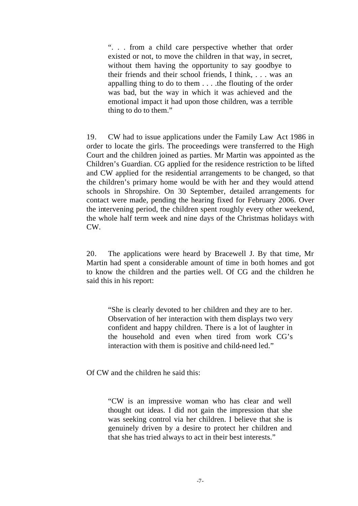". . . from a child care perspective whether that order existed or not, to move the children in that way, in secret, without them having the opportunity to say goodbye to their friends and their school friends, I think, . . . was an appalling thing to do to them . . . .the flouting of the order was bad, but the way in which it was achieved and the emotional impact it had upon those children, was a terrible thing to do to them."

19. CW had to issue applications under the Family Law Act 1986 in order to locate the girls. The proceedings were transferred to the High Court and the children joined as parties. Mr Martin was appointed as the Children's Guardian. CG applied for the residence restriction to be lifted and CW applied for the residential arrangements to be changed, so that the children's primary home would be with her and they would attend schools in Shropshire. On 30 September, detailed arrangements for contact were made, pending the hearing fixed for February 2006. Over the intervening period, the children spent roughly every other weekend, the whole half term week and nine days of the Christmas holidays with CW.

20. The applications were heard by Bracewell J. By that time, Mr Martin had spent a considerable amount of time in both homes and got to know the children and the parties well. Of CG and the children he said this in his report:

"She is clearly devoted to her children and they are to her. Observation of her interaction with them displays two very confident and happy children. There is a lot of laughter in the household and even when tired from work CG's interaction with them is positive and child-need led."

Of CW and the children he said this:

"CW is an impressive woman who has clear and well thought out ideas. I did not gain the impression that she was seeking control via her children. I believe that she is genuinely driven by a desire to protect her children and that she has tried always to act in their best interests."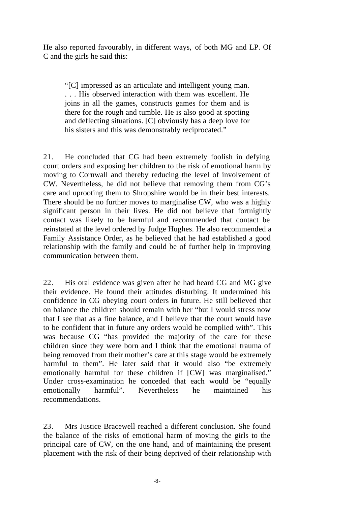He also reported favourably, in different ways, of both MG and LP. Of C and the girls he said this:

"[C] impressed as an articulate and intelligent young man. . . . His observed interaction with them was excellent. He joins in all the games, constructs games for them and is there for the rough and tumble. He is also good at spotting and deflecting situations. [C] obviously has a deep love for his sisters and this was demonstrably reciprocated."

21. He concluded that CG had been extremely foolish in defying court orders and exposing her children to the risk of emotional harm by moving to Cornwall and thereby reducing the level of involvement of CW. Nevertheless, he did not believe that removing them from CG's care and uprooting them to Shropshire would be in their best interests. There should be no further moves to marginalise CW, who was a highly significant person in their lives. He did not believe that fortnightly contact was likely to be harmful and recommended that contact be reinstated at the level ordered by Judge Hughes. He also recommended a Family Assistance Order, as he believed that he had established a good relationship with the family and could be of further help in improving communication between them.

22. His oral evidence was given after he had heard CG and MG give their evidence. He found their attitudes disturbing. It undermined his confidence in CG obeying court orders in future. He still believed that on balance the children should remain with her "but I would stress now that I see that as a fine balance, and I believe that the court would have to be confident that in future any orders would be complied with". This was because CG "has provided the majority of the care for these children since they were born and I think that the emotional trauma of being removed from their mother's care at this stage would be extremely harmful to them". He later said that it would also "be extremely emotionally harmful for these children if [CW] was marginalised." Under cross-examination he conceded that each would be "equally emotionally harmful". Nevertheless he maintained his recommendations.

23. Mrs Justice Bracewell reached a different conclusion. She found the balance of the risks of emotional harm of moving the girls to the principal care of CW, on the one hand, and of maintaining the present placement with the risk of their being deprived of their relationship with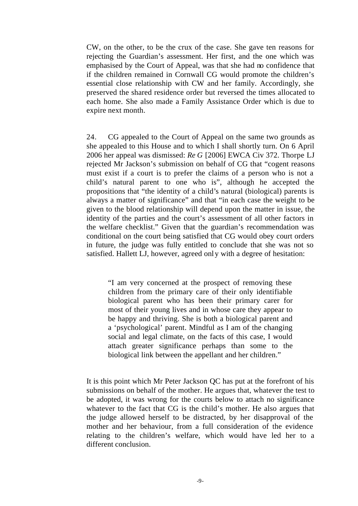CW, on the other, to be the crux of the case. She gave ten reasons for rejecting the Guardian's assessment. Her first, and the one which was emphasised by the Court of Appeal, was that she had no confidence that if the children remained in Cornwall CG would promote the children's essential close relationship with CW and her family. Accordingly, she preserved the shared residence order but reversed the times allocated to each home. She also made a Family Assistance Order which is due to expire next month.

24. CG appealed to the Court of Appeal on the same two grounds as she appealed to this House and to which I shall shortly turn. On 6 April 2006 her appeal was dismissed: *Re G* [2006] EWCA Civ 372. Thorpe LJ rejected Mr Jackson's submission on behalf of CG that "cogent reasons must exist if a court is to prefer the claims of a person who is not a child's natural parent to one who is", although he accepted the propositions that "the identity of a child's natural (biological) parents is always a matter of significance" and that "in each case the weight to be given to the blood relationship will depend upon the matter in issue, the identity of the parties and the court's assessment of all other factors in the welfare checklist." Given that the guardian's recommendation was conditional on the court being satisfied that CG would obey court orders in future, the judge was fully entitled to conclude that she was not so satisfied. Hallett LJ, however, agreed only with a degree of hesitation:

"I am very concerned at the prospect of removing these children from the primary care of their only identifiable biological parent who has been their primary carer for most of their young lives and in whose care they appear to be happy and thriving. She is both a biological parent and a 'psychological' parent. Mindful as I am of the changing social and legal climate, on the facts of this case, I would attach greater significance perhaps than some to the biological link between the appellant and her children."

It is this point which Mr Peter Jackson QC has put at the forefront of his submissions on behalf of the mother. He argues that, whatever the test to be adopted, it was wrong for the courts below to attach no significance whatever to the fact that CG is the child's mother. He also argues that the judge allowed herself to be distracted, by her disapproval of the mother and her behaviour, from a full consideration of the evidence relating to the children's welfare, which would have led her to a different conclusion.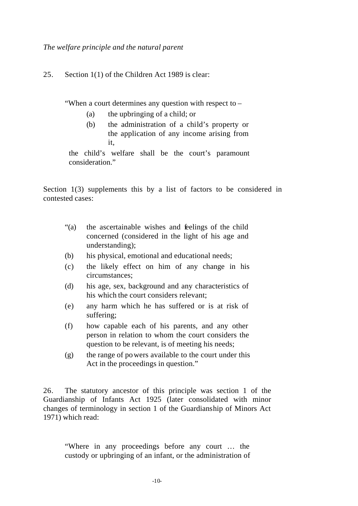25. Section 1(1) of the Children Act 1989 is clear:

"When a court determines any question with respect to –

- (a) the upbringing of a child; or
- (b) the administration of a child's property or the application of any income arising from it,

the child's welfare shall be the court's paramount consideration."

Section 1(3) supplements this by a list of factors to be considered in contested cases:

- "(a) the ascertainable wishes and feelings of the child concerned (considered in the light of his age and understanding);
- (b) his physical, emotional and educational needs;
- (c) the likely effect on him of any change in his circumstances;
- (d) his age, sex, background and any characteristics of his which the court considers relevant;
- (e) any harm which he has suffered or is at risk of suffering;
- (f) how capable each of his parents, and any other person in relation to whom the court considers the question to be relevant, is of meeting his needs;
- (g) the range of powers available to the court under this Act in the proceedings in question."

26. The statutory ancestor of this principle was section 1 of the Guardianship of Infants Act 1925 (later consolidated with minor changes of terminology in section 1 of the Guardianship of Minors Act 1971) which read:

"Where in any proceedings before any court … the custody or upbringing of an infant, or the administration of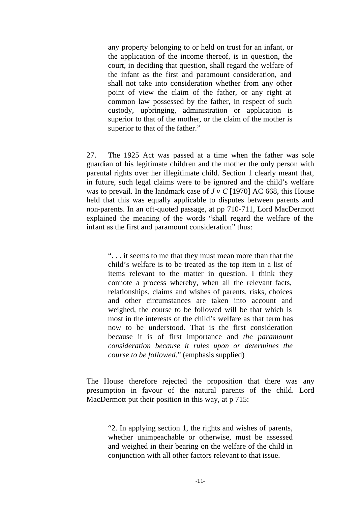any property belonging to or held on trust for an infant, or the application of the income thereof, is in question, the court, in deciding that question, shall regard the welfare of the infant as the first and paramount consideration, and shall not take into consideration whether from any other point of view the claim of the father, or any right at common law possessed by the father, in respect of such custody, upbringing, administration or application is superior to that of the mother, or the claim of the mother is superior to that of the father."

27. The 1925 Act was passed at a time when the father was sole guardian of his legitimate children and the mother the only person with parental rights over her illegitimate child. Section 1 clearly meant that, in future, such legal claims were to be ignored and the child's welfare was to prevail. In the landmark case of *J v C* [1970] AC 668, this House held that this was equally applicable to disputes between parents and non-parents. In an oft-quoted passage, at pp 710-711, Lord MacDermott explained the meaning of the words "shall regard the welfare of the infant as the first and paramount consideration" thus:

". . . it seems to me that they must mean more than that the child's welfare is to be treated as the top item in a list of items relevant to the matter in question. I think they connote a process whereby, when all the relevant facts, relationships, claims and wishes of parents, risks, choices and other circumstances are taken into account and weighed, the course to be followed will be that which is most in the interests of the child's welfare as that term has now to be understood. That is the first consideration because it is of first importance and *the paramount consideration because it rules upon or determines the course to be followed*." (emphasis supplied)

The House therefore rejected the proposition that there was any presumption in favour of the natural parents of the child. Lord MacDermott put their position in this way, at p 715:

"2. In applying section 1, the rights and wishes of parents, whether unimpeachable or otherwise, must be assessed and weighed in their bearing on the welfare of the child in conjunction with all other factors relevant to that issue.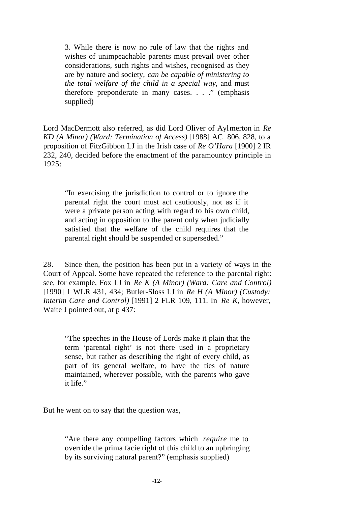3. While there is now no rule of law that the rights and wishes of unimpeachable parents must prevail over other considerations, such rights and wishes, recognised as they are by nature and society, *can be capable of ministering to the total welfare of the child in a special way*, and must therefore preponderate in many cases. . . ." (emphasis supplied)

Lord MacDermott also referred, as did Lord Oliver of Aylmerton in *Re KD (A Minor) (Ward: Termination of Access)* [1988] AC 806, 828, to a proposition of FitzGibbon LJ in the Irish case of *Re O'Hara* [1900] 2 IR 232, 240, decided before the enactment of the paramountcy principle in 1925:

"In exercising the jurisdiction to control or to ignore the parental right the court must act cautiously, not as if it were a private person acting with regard to his own child, and acting in opposition to the parent only when judicially satisfied that the welfare of the child requires that the parental right should be suspended or superseded."

28. Since then, the position has been put in a variety of ways in the Court of Appeal. Some have repeated the reference to the parental right: see, for example, Fox LJ in *Re K (A Minor) (Ward: Care and Control)* [1990] 1 WLR 431, 434; Butler-Sloss LJ in *Re H (A Minor) (Custody: Interim Care and Control)* [1991] 2 FLR 109, 111. In *Re K*, however, Waite J pointed out, at p 437:

"The speeches in the House of Lords make it plain that the term 'parental right' is not there used in a proprietary sense, but rather as describing the right of every child, as part of its general welfare, to have the ties of nature maintained, wherever possible, with the parents who gave it life."

But he went on to say that the question was,

"Are there any compelling factors which *require* me to override the prima facie right of this child to an upbringing by its surviving natural parent?" (emphasis supplied)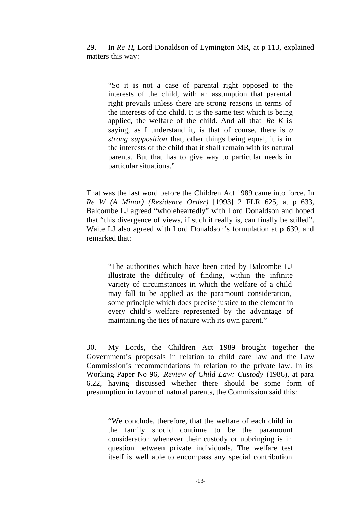29. In *Re H*, Lord Donaldson of Lymington MR, at p 113, explained matters this way:

"So it is not a case of parental right opposed to the interests of the child, with an assumption that parental right prevails unless there are strong reasons in terms of the interests of the child. It is the same test which is being applied, the welfare of the child. And all that *Re K* is saying, as I understand it, is that of course, there is *a strong supposition* that, other things being equal, it is in the interests of the child that it shall remain with its natural parents. But that has to give way to particular needs in particular situations."

That was the last word before the Children Act 1989 came into force. In *Re W (A Minor) (Residence Order)* [1993] 2 FLR 625, at p 633, Balcombe LJ agreed "wholeheartedly" with Lord Donaldson and hoped that "this divergence of views, if such it really is, can finally be stilled". Waite LJ also agreed with Lord Donaldson's formulation at p 639, and remarked that:

"The authorities which have been cited by Balcombe LJ illustrate the difficulty of finding, within the infinite variety of circumstances in which the welfare of a child may fall to be applied as the paramount consideration, some principle which does precise justice to the element in every child's welfare represented by the advantage of maintaining the ties of nature with its own parent."

30. My Lords, the Children Act 1989 brought together the Government's proposals in relation to child care law and the Law Commission's recommendations in relation to the private law. In its Working Paper No 96, *Review of Child Law: Custody* (1986), at para 6.22, having discussed whether there should be some form of presumption in favour of natural parents, the Commission said this:

"We conclude, therefore, that the welfare of each child in the family should continue to be the paramount consideration whenever their custody or upbringing is in question between private individuals. The welfare test itself is well able to encompass any special contribution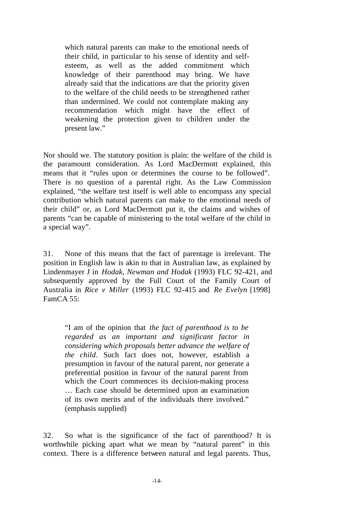which natural parents can make to the emotional needs of their child, in particular to his sense of identity and selfesteem, as well as the added commitment which knowledge of their parenthood may bring. We have already said that the indications are that the priority given to the welfare of the child needs to be strengthened rather than undermined. We could not contemplate making any recommendation which might have the effect of weakening the protection given to children under the present law."

Nor should we. The statutory position is plain: the welfare of the child is the paramount consideration. As Lord MacDermott explained, this means that it "rules upon or determines the course to be followed". There is no question of a parental right. As the Law Commission explained, "the welfare test itself is well able to encompass any special contribution which natural parents can make to the emotional needs of their child" or, as Lord MacDermott put it, the claims and wishes of parents "can be capable of ministering to the total welfare of the child in a special way".

31. None of this means that the fact of parentage is irrelevant. The position in English law is akin to that in Australian law, as explained by Lindenmayer J in *Hodak, Newman and Hodak* (1993) FLC 92-421, and subsequently approved by the Full Court of the Family Court of Australia in *Rice v Miller* (1993) FLC 92-415 and *Re Evelyn* [1998] FamCA 55:

"I am of the opinion that *the fact of parenthood is to be regarded as an important and significant factor in considering which proposals better advance the welfare of the child*. Such fact does not, however, establish a presumption in favour of the natural parent, nor generate a preferential position in favour of the natural parent from which the Court commences its decision-making process … Each case should be determined upon an examination of its own merits and of the individuals there involved." (emphasis supplied)

32. So what is the significance of the fact of parenthood? It is worthwhile picking apart what we mean by "natural parent" in this context. There is a difference between natural and legal parents. Thus,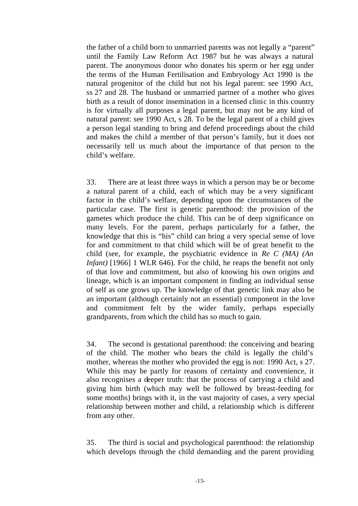the father of a child born to unmarried parents was not legally a "parent" until the Family Law Reform Act 1987 but he was always a natural parent. The anonymous donor who donates his sperm or her egg under the terms of the Human Fertilisation and Embryology Act 1990 is the natural progenitor of the child but not his legal parent: see 1990 Act, ss 27 and 28. The husband or unmarried partner of a mother who gives birth as a result of donor insemination in a licensed clinic in this country is for virtually all purposes a legal parent, but may not be any kind of natural parent: see 1990 Act, s 28. To be the legal parent of a child gives a person legal standing to bring and defend proceedings about the child and makes the child a member of that person's family, but it does not necessarily tell us much about the importance of that person to the child's welfare.

33. There are at least three ways in which a person may be or become a natural parent of a child, each of which may be a very significant factor in the child's welfare, depending upon the circumstances of the particular case. The first is genetic parenthood: the provision of the gametes which produce the child. This can be of deep significance on many levels. For the parent, perhaps particularly for a father, the knowledge that this is "his" child can bring a very special sense of love for and commitment to that child which will be of great benefit to the child (see, for example, the psychiatric evidence in *Re C (MA) (An Infant*) [1966] 1 WLR 646). For the child, he reaps the benefit not only of that love and commitment, but also of knowing his own origins and lineage, which is an important component in finding an individual sense of self as one grows up. The knowledge of that genetic link may also be an important (although certainly not an essential) component in the love and commitment felt by the wider family, perhaps especially grandparents, from which the child has so much to gain.

34. The second is gestational parenthood: the conceiving and bearing of the child. The mother who bears the child is legally the child's mother, whereas the mother who provided the egg is not: 1990 Act, s 27. While this may be partly for reasons of certainty and convenience, it also recognises a deeper truth: that the process of carrying a child and giving him birth (which may well be followed by breast-feeding for some months) brings with it, in the vast majority of cases, a very special relationship between mother and child, a relationship which is different from any other.

35. The third is social and psychological parenthood: the relationship which develops through the child demanding and the parent providing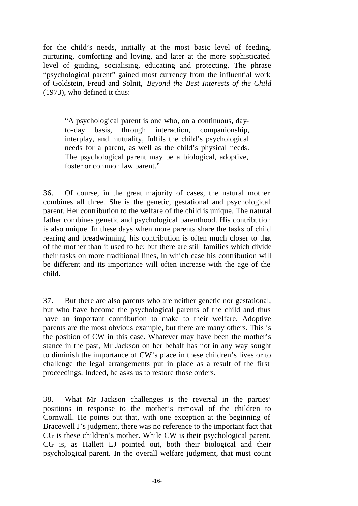for the child's needs, initially at the most basic level of feeding, nurturing, comforting and loving, and later at the more sophisticated level of guiding, socialising, educating and protecting. The phrase "psychological parent" gained most currency from the influential work of Goldstein, Freud and Solnit, *Beyond the Best Interests of the Child* (1973), who defined it thus:

"A psychological parent is one who, on a continuous, dayto-day basis, through interaction, companionship, interplay, and mutuality, fulfils the child's psychological needs for a parent, as well as the child's physical needs. The psychological parent may be a biological, adoptive, foster or common law parent."

36. Of course, in the great majority of cases, the natural mother combines all three. She is the genetic, gestational and psychological parent. Her contribution to the welfare of the child is unique. The natural father combines genetic and psychological parenthood. His contribution is also unique. In these days when more parents share the tasks of child rearing and breadwinning, his contribution is often much closer to that of the mother than it used to be; but there are still families which divide their tasks on more traditional lines, in which case his contribution will be different and its importance will often increase with the age of the child.

37. But there are also parents who are neither genetic nor gestational, but who have become the psychological parents of the child and thus have an important contribution to make to their welfare. Adoptive parents are the most obvious example, but there are many others. This is the position of CW in this case. Whatever may have been the mother's stance in the past, Mr Jackson on her behalf has not in any way sought to diminish the importance of CW's place in these children's lives or to challenge the legal arrangements put in place as a result of the first proceedings. Indeed, he asks us to restore those orders.

38. What Mr Jackson challenges is the reversal in the parties' positions in response to the mother's removal of the children to Cornwall. He points out that, with one exception at the beginning of Bracewell J's judgment, there was no reference to the important fact that CG is these children's mother. While CW is their psychological parent, CG is, as Hallett LJ pointed out, both their biological and their psychological parent. In the overall welfare judgment, that must count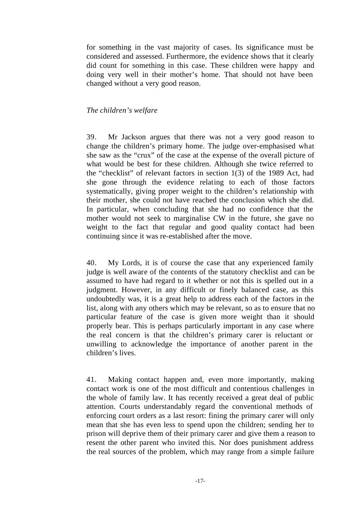for something in the vast majority of cases. Its significance must be considered and assessed. Furthermore, the evidence shows that it clearly did count for something in this case. These children were happy and doing very well in their mother's home. That should not have been changed without a very good reason.

# *The children's welfare*

39. Mr Jackson argues that there was not a very good reason to change the children's primary home. The judge over-emphasised what she saw as the "crux" of the case at the expense of the overall picture of what would be best for these children. Although she twice referred to the "checklist" of relevant factors in section 1(3) of the 1989 Act, had she gone through the evidence relating to each of those factors systematically, giving proper weight to the children's relationship with their mother, she could not have reached the conclusion which she did. In particular, when concluding that she had no confidence that the mother would not seek to marginalise CW in the future, she gave no weight to the fact that regular and good quality contact had been continuing since it was re-established after the move.

40. My Lords, it is of course the case that any experienced family judge is well aware of the contents of the statutory checklist and can be assumed to have had regard to it whether or not this is spelled out in a judgment. However, in any difficult or finely balanced case, as this undoubtedly was, it is a great help to address each of the factors in the list, along with any others which may be relevant, so as to ensure that no particular feature of the case is given more weight than it should properly bear. This is perhaps particularly important in any case where the real concern is that the children's primary carer is reluctant or unwilling to acknowledge the importance of another parent in the children's lives.

41. Making contact happen and, even more importantly, making contact work is one of the most difficult and contentious challenges in the whole of family law. It has recently received a great deal of public attention. Courts understandably regard the conventional methods of enforcing court orders as a last resort: fining the primary carer will only mean that she has even less to spend upon the children; sending her to prison will deprive them of their primary carer and give them a reason to resent the other parent who invited this. Nor does punishment address the real sources of the problem, which may range from a simple failure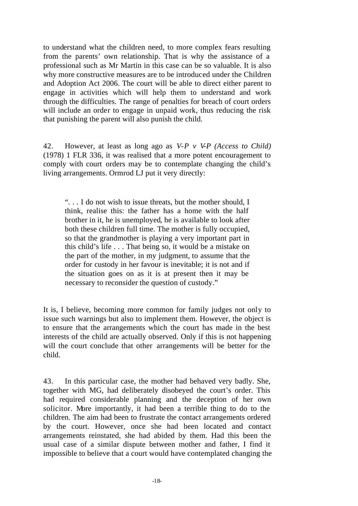to understand what the children need, to more complex fears resulting from the parents' own relationship. That is why the assistance of a professional such as Mr Martin in this case can be so valuable. It is also why more constructive measures are to be introduced under the Children and Adoption Act 2006. The court will be able to direct either parent to engage in activities which will help them to understand and work through the difficulties. The range of penalties for breach of court orders will include an order to engage in unpaid work, thus reducing the risk that punishing the parent will also punish the child.

42. However, at least as long ago as *V-P v V-P (Access to Child)* (1978) 1 FLR 336, it was realised that a more potent encouragement to comply with court orders may be to contemplate changing the child's living arrangements. Ormrod LJ put it very directly:

". . . I do not wish to issue threats, but the mother should, I think, realise this: the father has a home with the half brother in it, he is unemployed, he is available to look after both these children full time. The mother is fully occupied, so that the grandmother is playing a very important part in this child's life . . . That being so, it would be a mistake on the part of the mother, in my judgment, to assume that the order for custody in her favour is inevitable; it is not and if the situation goes on as it is at present then it may be necessary to reconsider the question of custody."

It is, I believe, becoming more common for family judges not only to issue such warnings but also to implement them. However, the object is to ensure that the arrangements which the court has made in the best interests of the child are actually observed. Only if this is not happening will the court conclude that other arrangements will be better for the child.

43. In this particular case, the mother had behaved very badly. She, together with MG, had deliberately disobeyed the court's order. This had required considerable planning and the deception of her own solicitor. More importantly, it had been a terrible thing to do to the children. The aim had been to frustrate the contact arrangements ordered by the court. However, once she had been located and contact arrangements reinstated, she had abided by them. Had this been the usual case of a similar dispute between mother and father, I find it impossible to believe that a court would have contemplated changing the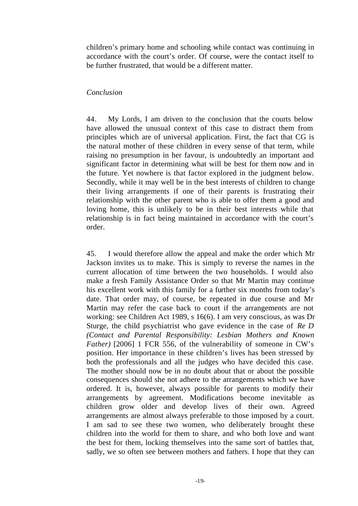children's primary home and schooling while contact was continuing in accordance with the court's order. Of course, were the contact itself to be further frustrated, that would be a different matter.

#### *Conclusion*

44. My Lords, I am driven to the conclusion that the courts below have allowed the unusual context of this case to distract them from principles which are of universal application. First, the fact that CG is the natural mother of these children in every sense of that term, while raising no presumption in her favour, is undoubtedly an important and significant factor in determining what will be best for them now and in the future. Yet nowhere is that factor explored in the judgment below. Secondly, while it may well be in the best interests of children to change their living arrangements if one of their parents is frustrating their relationship with the other parent who is able to offer them a good and loving home, this is unlikely to be in their best interests while that relationship is in fact being maintained in accordance with the court's order.

45. I would therefore allow the appeal and make the order which Mr Jackson invites us to make. This is simply to reverse the names in the current allocation of time between the two households. I would also make a fresh Family Assistance Order so that Mr Martin may continue his excellent work with this family for a further six months from today's date. That order may, of course, be repeated in due course and Mr Martin may refer the case back to court if the arrangements are not working: see Children Act 1989, s 16(6). I am very conscious, as was Dr Sturge, the child psychiatrist who gave evidence in the case of *Re D (Contact and Parental Responsibility: Lesbian Mothers and Known Father)* [2006] 1 FCR 556, of the vulnerability of someone in CW's position. Her importance in these children's lives has been stressed by both the professionals and all the judges who have decided this case. The mother should now be in no doubt about that or about the possible consequences should she not adhere to the arrangements which we have ordered. It is, however, always possible for parents to modify their arrangements by agreement. Modifications become inevitable as children grow older and develop lives of their own. Agreed arrangements are almost always preferable to those imposed by a court. I am sad to see these two women, who deliberately brought these children into the world for them to share, and who both love and want the best for them, locking themselves into the same sort of battles that, sadly, we so often see between mothers and fathers. I hope that they can